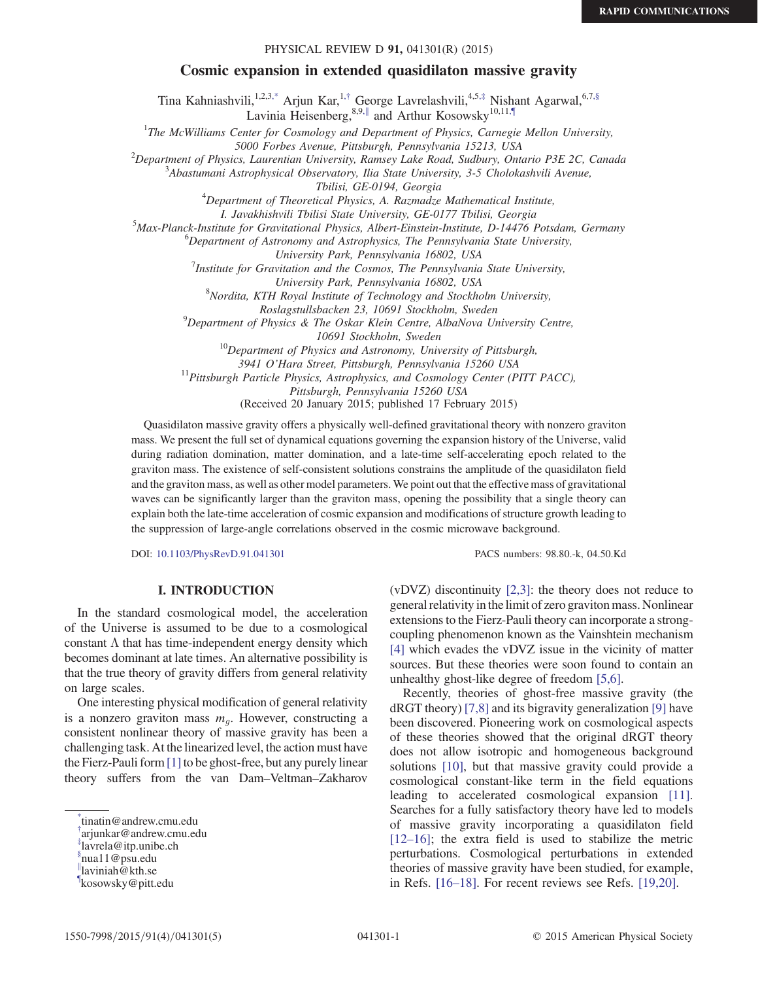### PHYSICAL REVIEW D 91, 041301(R) (2015)

## Cosmic expansion in extended quasidilaton massive gravity

Tina Kahniashvili,<sup>1,2,3[,\\*](#page-0-0)</sup> Arjun Kar,<sup>1,[†](#page-0-1)</sup> George Lavrelashvili,<sup>4,5,[‡](#page-0-2)</sup> Nishant Agarwal,<sup>6,[7,§](#page-0-3)</sup> Lavinia Heisenberg,  $8.9$ , and Arthur Kosowsky<sup>10,1[1,¶](#page-0-5)</sup>

<span id="page-0-7"></span><span id="page-0-6"></span><sup>1</sup>The McWilliams Center for Cosmology and Department of Physics, Carnegie Mellon University,

5000 Forbes Avenue, Pittsburgh, Pennsylvania 15213, USA <sup>2</sup>

 $^{2}$ Department of Physics, Laurentian University, Ramsey Lake Road, Sudbury, Ontario P3E 2C, Canada

Abastumani Astrophysical Observatory, Ilia State University, 3-5 Cholokashvili Avenue,

Tbilisi, GE-0194, Georgia<br><sup>4</sup>Department of Theoretical Physics, A. Razmadze Mathematical Institute,

I. Javakhishvili Tbilisi State University, GE-0177 Tbilisi, Georgia <sup>5</sup>

<sup>5</sup>Max-Planck-Institute for Gravitational Physics, Albert-Einstein-Institute, D-14476 Potsdam, Germany

 ${}^{6}$ Department of Astronomy and Astrophysics, The Pennsylvania State University,

University Park, Pennsylvania 16802, USA<br><sup>7</sup>Institute for Gravitation and the Cosmos, The Pennsylvania State University,

University Park, Pennsylvania 16802, USA <sup>8</sup>

<sup>8</sup>Nordita, KTH Royal Institute of Technology and Stockholm University,

Roslagstullsbacken 23, 10691 Stockholm, Sweden <sup>9</sup>

<sup>9</sup>Department of Physics & The Oskar Klein Centre, AlbaNova University Centre,

10691 Stockholm, Sweden 10Department of Physics and Astronomy, University of Pittsburgh,

3941 O'Hara Street, Pittsburgh, Pennsylvania 15260 USA<br><sup>11</sup>Pittsburgh Particle Physics, Astrophysics, and Cosmology Center (PITT PACC),

Pittsburgh, Pennsylvania 15260 USA

(Received 20 January 2015; published 17 February 2015)

Quasidilaton massive gravity offers a physically well-defined gravitational theory with nonzero graviton mass. We present the full set of dynamical equations governing the expansion history of the Universe, valid during radiation domination, matter domination, and a late-time self-accelerating epoch related to the graviton mass. The existence of self-consistent solutions constrains the amplitude of the quasidilaton field and the graviton mass, as well as other model parameters. We point out that the effective mass of gravitational waves can be significantly larger than the graviton mass, opening the possibility that a single theory can explain both the late-time acceleration of cosmic expansion and modifications of structure growth leading to the suppression of large-angle correlations observed in the cosmic microwave background.

DOI: [10.1103/PhysRevD.91.041301](http://dx.doi.org/10.1103/PhysRevD.91.041301) PACS numbers: 98.80.-k, 04.50.Kd

# I. INTRODUCTION

In the standard cosmological model, the acceleration of the Universe is assumed to be due to a cosmological constant  $\Lambda$  that has time-independent energy density which becomes dominant at late times. An alternative possibility is that the true theory of gravity differs from general relativity on large scales.

One interesting physical modification of general relativity is a nonzero graviton mass  $m<sub>a</sub>$ . However, constructing a consistent nonlinear theory of massive gravity has been a challenging task. At the linearized level, the action must have the Fierz-Pauli form [\[1\]](#page-4-0) to be ghost-free, but any purely linear theory suffers from the van Dam–Veltman–Zakharov

(vDVZ) discontinuity [\[2,3\]](#page-4-1): the theory does not reduce to general relativity in the limit of zero graviton mass. Nonlinear extensions to the Fierz-Pauli theory can incorporate a strongcoupling phenomenon known as the Vainshtein mechanism [\[4\]](#page-4-2) which evades the vDVZ issue in the vicinity of matter sources. But these theories were soon found to contain an unhealthy ghost-like degree of freedom [\[5,6\].](#page-4-3)

Recently, theories of ghost-free massive gravity (the dRGT theory) [\[7,8\]](#page-4-4) and its bigravity generalization [\[9\]](#page-4-5) have been discovered. Pioneering work on cosmological aspects of these theories showed that the original dRGT theory does not allow isotropic and homogeneous background solutions [\[10\]](#page-4-6), but that massive gravity could provide a cosmological constant-like term in the field equations leading to accelerated cosmological expansion [\[11\]](#page-4-7). Searches for a fully satisfactory theory have led to models of massive gravity incorporating a quasidilaton field  $[12–16]$  $[12–16]$ ; the extra field is used to stabilize the metric perturbations. Cosmological perturbations in extended theories of massive gravity have been studied, for example, in Refs. [\[16](#page-4-9)–18]. For recent reviews see Refs. [\[19,20\]](#page-4-10).

<span id="page-0-0"></span>[<sup>\\*</sup>](#page-0-6) tinatin@andrew.cmu.edu

<span id="page-0-1"></span>[<sup>†</sup>](#page-0-6) arjunkar@andrew.cmu.edu

<span id="page-0-3"></span><span id="page-0-2"></span>[<sup>‡</sup>](#page-0-6) lavrela@itp.unibe.ch [§](#page-0-6) nua11@psu.edu

<span id="page-0-4"></span>[<sup>∥</sup>](#page-0-7) laviniah@kth.se

<span id="page-0-5"></span>[<sup>¶</sup>](#page-0-7) kosowsky@pitt.edu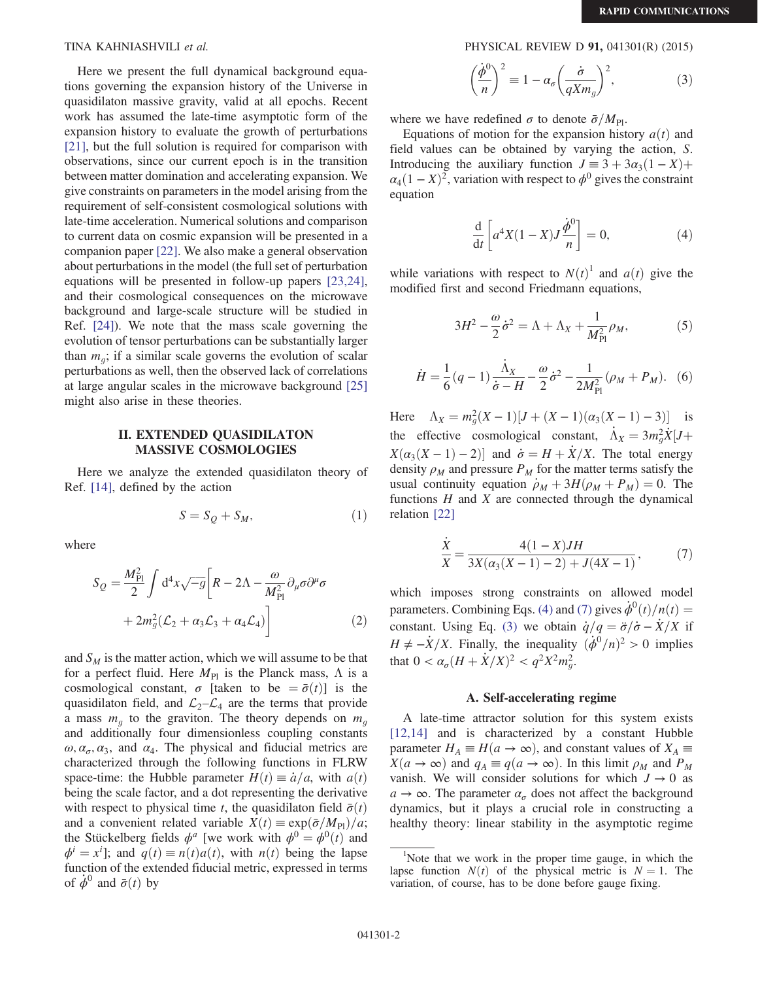Here we present the full dynamical background equations governing the expansion history of the Universe in quasidilaton massive gravity, valid at all epochs. Recent work has assumed the late-time asymptotic form of the expansion history to evaluate the growth of perturbations [\[21\]](#page-4-11), but the full solution is required for comparison with observations, since our current epoch is in the transition between matter domination and accelerating expansion. We give constraints on parameters in the model arising from the requirement of self-consistent cosmological solutions with late-time acceleration. Numerical solutions and comparison to current data on cosmic expansion will be presented in a companion paper [\[22\]](#page-4-12). We also make a general observation about perturbations in the model (the full set of perturbation equations will be presented in follow-up papers [\[23,24\]](#page-4-13), and their cosmological consequences on the microwave background and large-scale structure will be studied in Ref. [\[24\]](#page-4-14)). We note that the mass scale governing the evolution of tensor perturbations can be substantially larger than  $m_q$ ; if a similar scale governs the evolution of scalar perturbations as well, then the observed lack of correlations at large angular scales in the microwave background [\[25\]](#page-4-15) might also arise in these theories.

### II. EXTENDED QUASIDILATON MASSIVE COSMOLOGIES

Here we analyze the extended quasidilaton theory of Ref. [\[14\],](#page-4-16) defined by the action

$$
S = S_Q + S_M,\tag{1}
$$

where

$$
S_Q = \frac{M_{\rm Pl}^2}{2} \int d^4x \sqrt{-g} \left[ R - 2\Lambda - \frac{\omega}{M_{\rm Pl}^2} \partial_\mu \sigma \partial^\mu \sigma \right. + 2m_g^2 (\mathcal{L}_2 + \alpha_3 \mathcal{L}_3 + \alpha_4 \mathcal{L}_4) \right]
$$
 (2)

<span id="page-1-2"></span>and  $S_M$  is the matter action, which we will assume to be that for a perfect fluid. Here  $M_{\text{Pl}}$  is the Planck mass,  $\Lambda$  is a cosmological constant,  $\sigma$  [taken to be  $= \bar{\sigma}(t)$ ] is the quasidilaton field, and  $\mathcal{L}_2-\mathcal{L}_4$  are the terms that provide a mass  $m_q$  to the graviton. The theory depends on  $m_q$ and additionally four dimensionless coupling constants  $\omega, \alpha_{\sigma}, \alpha_3$ , and  $\alpha_4$ . The physical and fiducial metrics are characterized through the following functions in FLRW space-time: the Hubble parameter  $H(t) \equiv \dot{a}/a$ , with  $a(t)$ being the scale factor, and a dot representing the derivative with respect to physical time t, the quasidilaton field  $\bar{\sigma}(t)$ and a convenient related variable  $X(t) \equiv \exp(\bar{\sigma}/M_{\rm Pl})/a$ ; the Stückelberg fields  $\phi^a$  [we work with  $\phi^0 = \phi^0(t)$  and  $\phi^i = x^i$ ; and  $q(t) \equiv n(t)a(t)$ , with  $n(t)$  being the lapse<br>function of the extended fiducial metric expressed in terms function of the extended fiducial metric, expressed in terms of  $\phi^0$  and  $\bar{\sigma}(t)$  by

TINA KAHNIASHVILI et al. PHYSICAL REVIEW D 91, 041301(R) (2015)

$$
\left(\frac{\dot{\phi}^0}{n}\right)^2 \equiv 1 - \alpha_\sigma \left(\frac{\dot{\sigma}}{qXm_g}\right)^2,\tag{3}
$$

where we have redefined  $\sigma$  to denote  $\bar{\sigma}/M_{\text{Pl}}$ .

<span id="page-1-0"></span>Equations of motion for the expansion history  $a(t)$  and field values can be obtained by varying the action, S. Introducing the auxiliary function  $J = 3 + 3\alpha_3(1 - X) +$  $\alpha_4(1 - X)^2$ , variation with respect to  $\phi^0$  gives the constraint equation

$$
\frac{\mathrm{d}}{\mathrm{d}t} \left[ a^4 X (1 - X) J \frac{\dot{\phi}^0}{n} \right] = 0,\tag{4}
$$

<span id="page-1-3"></span>while variations with respect to  $N(t)^{1}$  and  $a(t)$  give the modified first and second Friedmann equations modified first and second Friedmann equations,

$$
3H^2 - \frac{\omega}{2}\dot{\sigma}^2 = \Lambda + \Lambda_X + \frac{1}{M_{\text{Pl}}^2}\rho_M,\tag{5}
$$

<span id="page-1-4"></span>
$$
\dot{H} = \frac{1}{6}(q-1)\frac{\dot{\Lambda}_X}{\dot{\sigma} - H} - \frac{\omega}{2}\dot{\sigma}^2 - \frac{1}{2M_{\rm Pl}^2}(\rho_M + P_M). \tag{6}
$$

Here  $\Lambda_X = m_g^2(X-1)[J + (X-1)(\alpha_3(X-1) - 3)]$  is the effective cosmological constant,  $\dot{\Lambda}_X = 3m_g^2 \dot{X} [J + Y(\lambda_X / X - 1)]$  $X(\alpha_3(X-1)-2)$  and  $\dot{\sigma} = H + \dot{X}/X$ . The total energy density  $\alpha_{\lambda}$  and pressure  $P_{\lambda}$  for the matter terms satisfy the density  $\rho_M$  and pressure  $P_M$  for the matter terms satisfy the usual continuity equation  $\dot{\rho}_M + 3H(\rho_M + P_M) = 0$ . The functions  $H$  and  $X$  are connected through the dynamical relation [\[22\]](#page-4-12)

<span id="page-1-1"></span>
$$
\frac{\dot{X}}{X} = \frac{4(1-X)JH}{3X(\alpha_3(X-1)-2) + J(4X-1)},
$$
\n(7)

which imposes strong constraints on allowed model parameters. Combining Eqs. [\(4\)](#page-1-0) and [\(7\)](#page-1-1) gives  $\dot{\phi}^0(t)/n(t)$  =  $(t)/n(t) =$ constant. Using Eq. [\(3\)](#page-1-2) we obtain  $\dot{q}/q = \ddot{\sigma}/\dot{\sigma} - \dot{X}/X$  if  $H \neq \dot{X}/X$ . Einelly, the inequality  $(\dot{A}^0/\gamma)^2 > 0$  implies  $H \neq -\dot{X}/X$ . Finally, the inequality  $(\dot{\phi}^0/n)^2 > 0$  implies that  $0 < \alpha_{\sigma} (H + \dot{X}/X)^2 < q^2 X^2 m_g^2$ .

### A. Self-accelerating regime

A late-time attractor solution for this system exists [\[12,14\]](#page-4-8) and is characterized by a constant Hubble parameter  $H_A \equiv H(a \to \infty)$ , and constant values of  $X_A \equiv$  $X(a \to \infty)$  and  $q_A \equiv q(a \to \infty)$ . In this limit  $\rho_M$  and  $P_M$ vanish. We will consider solutions for which  $J \rightarrow 0$  as  $a \rightarrow \infty$ . The parameter  $\alpha_{\sigma}$  does not affect the background dynamics, but it plays a crucial role in constructing a healthy theory: linear stability in the asymptotic regime

<sup>&</sup>lt;sup>1</sup>Note that we work in the proper time gauge, in which the lapse function  $N(t)$  of the physical metric is  $N = 1$ . The variation, of course, has to be done before gauge fixing.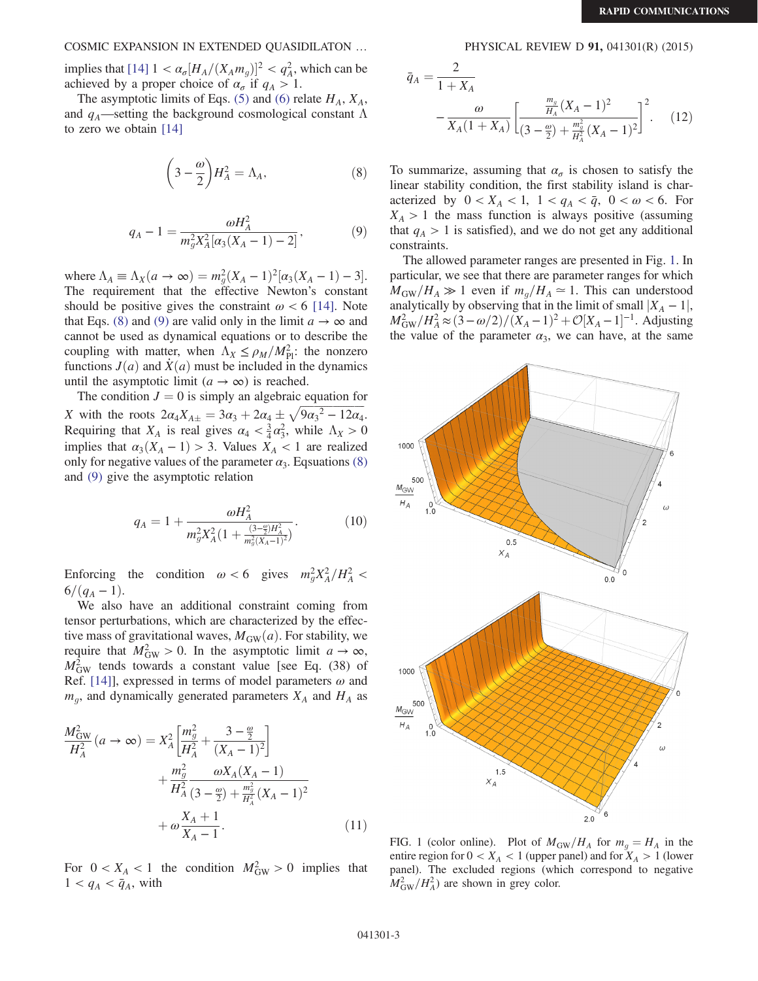## COSMIC EXPANSION IN EXTENDED QUASIDILATON … PHYSICAL REVIEW D 91, 041301(R) (2015)

implies that  $[14]$   $1 < \alpha_{\sigma} [H_A/(X_A m_g)]^2 < q_A^2$ , which can be achieved by a proper choice of  $\alpha$  if  $q \ge 1$ achieved by a proper choice of  $\alpha_{\sigma}$  if  $q_A > 1$ .

<span id="page-2-0"></span>The asymptotic limits of Eqs. [\(5\)](#page-1-3) and [\(6\)](#page-1-4) relate  $H_A$ ,  $X_A$ , and  $q_A$ —setting the background cosmological constant  $\Lambda$ to zero we obtain [\[14\]](#page-4-16)

$$
\left(3 - \frac{\omega}{2}\right) H_A^2 = \Lambda_A,\tag{8}
$$

<span id="page-2-1"></span>
$$
q_A - 1 = \frac{\omega H_A^2}{m_g^2 X_A^2 [\alpha_3 (X_A - 1) - 2]},
$$
\n(9)

where  $\Lambda_A \equiv \Lambda_X(a \to \infty) = m_g^2 (X_A - 1)^2 [\alpha_3 (X_A - 1) - 3].$ <br>The requirement that the effective Newton's constant The requirement that the effective Newton's constant should be positive gives the constraint  $\omega < 6$  [\[14\].](#page-4-16) Note that Eqs. [\(8\)](#page-2-0) and [\(9\)](#page-2-1) are valid only in the limit  $a \to \infty$  and cannot be used as dynamical equations or to describe the coupling with matter, when  $\Lambda_X \le \rho_M/M_{\rm Pl}^2$ : the nonzero functions  $I(a)$  and  $\dot{X}(a)$  must be included in the dynamics functions  $J(a)$  and  $\dot{X}(a)$  must be included in the dynamics until the asymptotic limit  $(a \rightarrow \infty)$  is reached.

The condition  $J = 0$  is simply an algebraic equation for X with the roots  $2\alpha_4 X_{A\pm} = 3\alpha_3 + 2\alpha_4 \pm \sqrt{9\alpha_3^2 - 12\alpha_4}$ .<br>Bequiring that X, is real gives  $\alpha_1 < \frac{3}{2}\alpha^2$  while  $\Delta_2 > 0$ . Requiring that  $X_A$  is real gives  $\alpha_4 < \frac{3}{4} \alpha_3^2$ , while  $\Lambda_X > 0$ <br>implies that  $\alpha_1(X = 1) > 3$ . Values  $X \neq 1$  are realized implies that  $\alpha_3(X_A - 1) > 3$ . Values  $X_A < 1$  are realized only for negative values of the parameter  $\alpha_3$ . Eqsuations [\(8\)](#page-2-0) and [\(9\)](#page-2-1) give the asymptotic relation

$$
q_A = 1 + \frac{\omega H_A^2}{m_g^2 X_A^2 \left(1 + \frac{(3 - \frac{\omega}{2}) H_A^2}{m_g^2 (X_A - 1)^2}\right)}.\tag{10}
$$

Enforcing the condition  $\omega < 6$  gives  $m_g^2 X_A^2 / H_A^2 < 6/(g-1)$  $6/(q_A - 1)$ .

We also have an additional constraint coming from tensor perturbations, which are characterized by the effective mass of gravitational waves,  $M_{GW}(a)$ . For stability, we require that  $M_{\text{GW}}^2 > 0$ . In the asymptotic limit  $a \to \infty$ ,<br> $M^2$  tends towards a constant value [see Eq. (38) of  $M_{\text{GW}}^2$  tends towards a constant value [see Eq. (38) of Ref. [141] expressed in terms of model parameters  $\omega$  and Ref. [\[14\]](#page-4-16)], expressed in terms of model parameters  $\omega$  and  $m_q$ , and dynamically generated parameters  $X_A$  and  $H_A$  as

$$
\frac{M_{\text{GW}}^2}{H_A^2}(a \to \infty) = X_A^2 \left[ \frac{m_g^2}{H_A^2} + \frac{3 - \frac{\omega}{2}}{(X_A - 1)^2} \right] + \frac{m_g^2}{H_A^2} \frac{\omega X_A (X_A - 1)}{(3 - \frac{\omega}{2}) + \frac{m_g^2}{H_A^2} (X_A - 1)^2} + \omega \frac{X_A + 1}{X_A - 1}.
$$
\n(11)

For  $0 < X_A < 1$  the condition  $M_{\text{GW}}^2 > 0$  implies that  $1 < a_A < \bar{a}_B$  with  $1 < q_A < \bar{q}_A$ , with

$$
\bar{q}_A = \frac{2}{1 + X_A} - \frac{\omega}{X_A(1 + X_A)} \left[ \frac{\frac{m_q}{H_A}(X_A - 1)^2}{(3 - \frac{\omega}{2}) + \frac{m_q^2}{H_A^2}(X_A - 1)^2} \right]^2.
$$
 (12)

To summarize, assuming that  $\alpha_{\sigma}$  is chosen to satisfy the linear stability condition, the first stability island is characterized by  $0 < X_A < 1$ ,  $1 < q_A < \bar{q}$ ,  $0 < \omega < 6$ . For  $X_A > 1$  the mass function is always positive (assuming that  $q_A > 1$  is satisfied), and we do not get any additional constraints.

The allowed parameter ranges are presented in Fig. [1](#page-2-2). In particular, we see that there are parameter ranges for which  $M_{\text{GW}}/H_A \gg 1$  even if  $m_q/H_A \approx 1$ . This can understood analytically by observing that in the limit of small  $|X_A - 1|$ ,  $\frac{M_{\text{GW}}^2}{M_{\text{H}}^2} = \frac{(3-\omega/2)}{(X_A-1)^2} + \frac{O[X_A-1]}{(X_A-1)}$  $]^{-1}$ . Adjusting the value of the parameter  $\alpha_3$ , we can have, at the same

<span id="page-2-2"></span>

FIG. 1 (color online). Plot of  $M_{\text{GW}}/H_A$  for  $m_g = H_A$  in the entire region for  $0 < X_s < 1$  (upper panel) and for  $X_s > 1$  (lower) entire region for  $0 < X_A < 1$  (upper panel) and for  $X_A > 1$  (lower<br>panel). The excluded regions (which correspond to negative panel). The excluded regions (which correspond to negative  $M_{\text{GW}}^2/H_A^2$ ) are shown in grey color.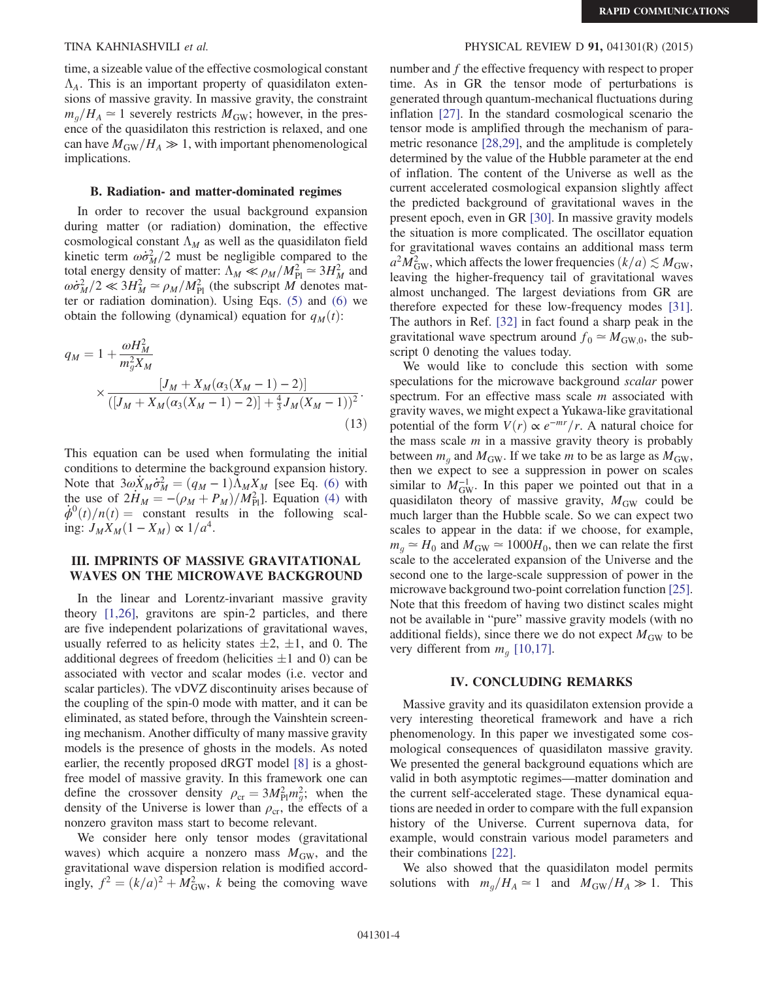time, a sizeable value of the effective cosmological constant  $\Lambda_A$ . This is an important property of quasidilaton extensions of massive gravity. In massive gravity, the constraint sions of massive gravity. In massive gravity, the constraint  $m_q/H_A \simeq 1$  severely restricts  $M_{\text{GW}}$ ; however, in the presence of the quasidilaton this restriction is relaxed, and one can have  $M_{\text{GW}}/H_A \gg 1$ , with important phenomenological implications.

### B. Radiation- and matter-dominated regimes

In order to recover the usual background expansion during matter (or radiation) domination, the effective cosmological constant  $\Lambda_M$  as well as the quasidilaton field kinetic term  $\omega \dot{\sigma}_M^2/2$  must be negligible compared to the total energy density of matter:  $\Delta u \ll \omega / M_{\phi}^2 \approx 3H_0^2$  and total energy density of matter:  $\Lambda_M \ll \rho_M/M_{Pl}^2 \approx 3H_M^2$  and  $\omega \sigma^2/2 \ll 3H^2 \approx \rho_M/M^2$  (the subscript M denotes mature  $\omega \dot{\sigma}_M^2/2 \ll 3H_M^2 \simeq \rho_M/M_{\rm Pl}^2$  (the subscript M denotes mat-<br>ter or radiation domination). Using Eqs. (5) and (6) we ter or radiation domination). Using Eqs. [\(5\)](#page-1-3) and [\(6\)](#page-1-4) we obtain the following (dynamical) equation for  $q_M(t)$ :

$$
q_M = 1 + \frac{\omega H_M^2}{m_g^2 X_M} \times \frac{[J_M + X_M(\alpha_3(X_M - 1) - 2)]}{([J_M + X_M(\alpha_3(X_M - 1) - 2)] + \frac{4}{3} J_M(X_M - 1))^2}.
$$
\n(13)

This equation can be used when formulating the initial conditions to determine the background expansion history. Note that  $3\omega \dot{X}_M \dot{\sigma}_M^2 = (q_M - 1) \tilde{\Lambda}_M X_M$  [see Eq. [\(6\)](#page-1-4) with the use of  $2\dot{H}_M - (q_M + P_M)/M^2$ ]. Fourtion (4) with the use of  $2\dot{H}_M = -(\rho_M + P_M)/M_{\rm Pl}^2$ . Equation [\(4\)](#page-1-0) with  $\dot{\rho}^0(t)/n(t)$  – constant results in the following scal- $\dot{\phi}^0(t)/n(t) =$  constant results in the following scaling:  $J_M X_M (1 - X_M) \propto 1/a^4$ .

## III. IMPRINTS OF MASSIVE GRAVITATIONAL WAVES ON THE MICROWAVE BACKGROUND

In the linear and Lorentz-invariant massive gravity theory [\[1,26\]](#page-4-0), gravitons are spin-2 particles, and there are five independent polarizations of gravitational waves, usually referred to as helicity states  $\pm 2$ ,  $\pm 1$ , and 0. The additional degrees of freedom (helicities  $\pm 1$  and 0) can be associated with vector and scalar modes (i.e. vector and scalar particles). The vDVZ discontinuity arises because of the coupling of the spin-0 mode with matter, and it can be eliminated, as stated before, through the Vainshtein screening mechanism. Another difficulty of many massive gravity models is the presence of ghosts in the models. As noted earlier, the recently proposed dRGT model [\[8\]](#page-4-17) is a ghostfree model of massive gravity. In this framework one can define the crossover density  $\rho_{cr} = 3M_{\rm Pl}^2 m_g^2$ ; when the density of the Universe is lower than  $\rho$  the effects of a density of the Universe is lower than  $\rho_{cr}$ , the effects of a nonzero graviton mass start to become relevant.

We consider here only tensor modes (gravitational waves) which acquire a nonzero mass  $M_{\text{GW}}$ , and the gravitational wave dispersion relation is modified accordingly,  $f^2 = (k/a)^2 + M_{\text{GW}}^2$ , k being the comoving wave

## TINA KAHNIASHVILI et al. PHYSICAL REVIEW D 91, 041301(R) (2015)

number and f the effective frequency with respect to proper time. As in GR the tensor mode of perturbations is generated through quantum-mechanical fluctuations during inflation [\[27\].](#page-4-18) In the standard cosmological scenario the tensor mode is amplified through the mechanism of parametric resonance [\[28,29\]](#page-4-19), and the amplitude is completely determined by the value of the Hubble parameter at the end of inflation. The content of the Universe as well as the current accelerated cosmological expansion slightly affect the predicted background of gravitational waves in the present epoch, even in GR [\[30\]](#page-4-20). In massive gravity models the situation is more complicated. The oscillator equation for gravitational waves contains an additional mass term  $a^2 M_{\text{GW}}^2$ , which affects the lower frequencies  $(k/a) \lesssim M_{\text{GW}}$ ,<br>leaving the higher-frequency tail of gravitational waves leaving the higher-frequency tail of gravitational waves almost unchanged. The largest deviations from GR are therefore expected for these low-frequency modes [\[31\]](#page-4-21). The authors in Ref. [\[32\]](#page-4-22) in fact found a sharp peak in the gravitational wave spectrum around  $f_0 \simeq M_{\text{GW},0}$ , the subscript 0 denoting the values today.

We would like to conclude this section with some speculations for the microwave background scalar power spectrum. For an effective mass scale *m* associated with gravity waves, we might expect a Yukawa-like gravitational potential of the form  $V(r) \propto e^{-mr}/r$ . A natural choice for the mass scale  $m$  in a massive gravity theory is probably between  $m_q$  and  $M_{\text{GW}}$ . If we take m to be as large as  $M_{\text{GW}}$ , then we expect to see a suppression in power on scales similar to  $M_{\text{GW}}^{-1}$ . In this paper we pointed out that in a quasidilaton theory of massive gravity  $M_{\text{GW}}$  could be quasidilaton theory of massive gravity,  $M_{\text{GW}}$  could be much larger than the Hubble scale. So we can expect two scales to appear in the data: if we choose, for example,  $m_q \approx H_0$  and  $M_{\text{GW}} \approx 1000 H_0$ , then we can relate the first scale to the accelerated expansion of the Universe and the second one to the large-scale suppression of power in the microwave background two-point correlation function [\[25\]](#page-4-15). Note that this freedom of having two distinct scales might not be available in "pure" massive gravity models (with no additional fields), since there we do not expect  $M_{\text{GW}}$  to be very different from  $m_q$  [\[10,17\].](#page-4-6)

### IV. CONCLUDING REMARKS

Massive gravity and its quasidilaton extension provide a very interesting theoretical framework and have a rich phenomenology. In this paper we investigated some cosmological consequences of quasidilaton massive gravity. We presented the general background equations which are valid in both asymptotic regimes—matter domination and the current self-accelerated stage. These dynamical equations are needed in order to compare with the full expansion history of the Universe. Current supernova data, for example, would constrain various model parameters and their combinations [\[22\]](#page-4-12).

We also showed that the quasidilaton model permits solutions with  $m_g/H_A \simeq 1$  and  $M_{\text{GW}}/H_A \gg 1$ . This